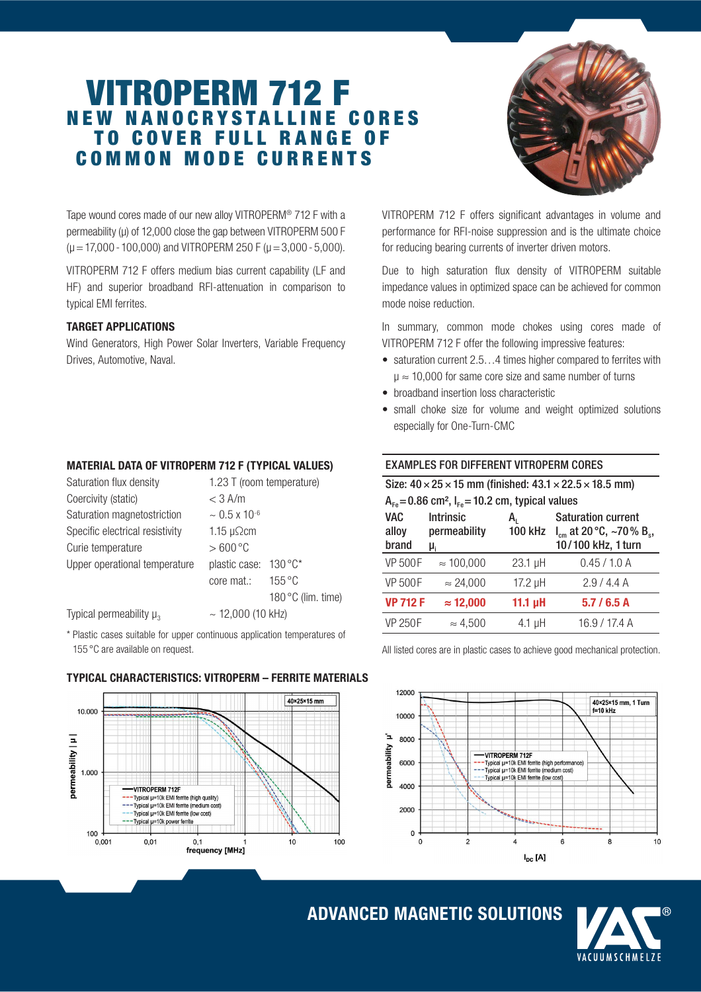# VITROPERM 712 F **NEW NANOCRYSTALLINE CORES** TO COVER FULL RANGE OF C O M M O N M O D E C U R R E N T S



Tape wound cores made of our new alloy VITROPERM® 712 F with a permeability (µ) of 12,000 close the gap between VITROPERM 500 F  $(\mu = 17,000 - 100,000)$  and VITROPERM 250 F ( $\mu = 3,000 - 5,000$ ).

VITROPERM 712 F offers medium bias current capability (LF and HF) and superior broadband RFI-attenuation in comparison to typical EMI ferrites.

### TARGET APPLICATIONS

Wind Generators, High Power Solar Inverters, Variable Frequency Drives, Automotive, Naval.

VITROPERM 712 F offers significant advantages in volume and performance for RFI-noise suppression and is the ultimate choice for reducing bearing currents of inverter driven motors.

Due to high saturation flux density of VITROPERM suitable impedance values in optimized space can be achieved for common mode noise reduction.

In summary, common mode chokes using cores made of VITROPERM 712 F offer the following impressive features:

- saturation current 2.5...4 times higher compared to ferrites with  $\mu \approx 10,000$  for same core size and same number of turns
- broadband insertion loss characteristic
- small choke size for volume and weight optimized solutions especially for One-Turn-CMC

## MATERIAL DATA OF VITROPERM 712 F (TYPICAL VALUES)

| Saturation flux density         | 1.23 T (room temperature)         |  |  |
|---------------------------------|-----------------------------------|--|--|
| Coercivity (static)             | $<$ 3 A/m                         |  |  |
| Saturation magnetostriction     | $\sim 0.5 \times 10^{-6}$         |  |  |
| Specific electrical resistivity | 1.15 $\mu$ $\Omega$ cm            |  |  |
| Curie temperature               | $>600^{\circ}$ C                  |  |  |
| Upper operational temperature   | $130^{\circ}$ C*<br>plastic case: |  |  |
|                                 | $155^{\circ}$ C<br>core mat.:     |  |  |
|                                 | 180 °C (lim. time)                |  |  |
| Typical permeability $\mu_{3}$  | $\sim$ 12,000 (10 kHz)            |  |  |

Typical permeability  $\mu_3$ 

10.000

 $1,000$ 

100

 $0.001$ 

VITROPERM 712F Typical µ=10k EMI ferrite (high quality) -Typical u=10k EMI ferrite (medium cos

 $0.01$ 

Typical µ=10k EMI ferrite (low cost) -Typical µ=10k power ferrite

 $0<sub>1</sub>$ 

frequency [MHz]

permeability | µ |

\* Plastic cases suitable for upper continuous application temperatures of 155 °C are available on request.

# EXAMPLES FOR DIFFERENT VITROPERM CORES

| Size: $40 \times 25 \times 15$ mm (finished: $43.1 \times 22.5 \times 18.5$ mm) |                                        |                      |                                                                                              |  |
|---------------------------------------------------------------------------------|----------------------------------------|----------------------|----------------------------------------------------------------------------------------------|--|
| $A_{Fe} = 0.86$ cm <sup>2</sup> , $I_{Fe} = 10.2$ cm, typical values            |                                        |                      |                                                                                              |  |
| <b>VAC</b><br>alloy<br>brand                                                    | <b>Intrinsic</b><br>permeability<br>μ, | A,<br><b>100 kHz</b> | <b>Saturation current</b><br>$I_{cm}$ at 20 °C, ~70 % B <sub>s</sub> ,<br>10/100 kHz, 1 turn |  |
| <b>VP 500F</b>                                                                  | $\approx 100,000$                      | $23.1$ µH            | 0.45 / 1.0 A                                                                                 |  |
| <b>VP 500F</b>                                                                  | $\approx$ 24,000                       | 17.2 µH              | 2.9/4.4A                                                                                     |  |
| <b>VP 712 F</b>                                                                 | $\approx$ 12,000                       | 11.1 $\mu$ H         | 5.7/6.5A                                                                                     |  |
| <b>VP 250F</b>                                                                  | $\approx 4.500$                        | $4.1 \mu H$          | 16.9 / 17.4 A                                                                                |  |

All listed cores are in plastic cases to achieve good mechanical protection.



## TYPICAL CHARACTERISTICS: VITROPERM – FERRITE MATERIALS

40×25×15 mm

 $10$ 

 $100$ 

# ADVANCED MAGNETIC SOLUTIONS